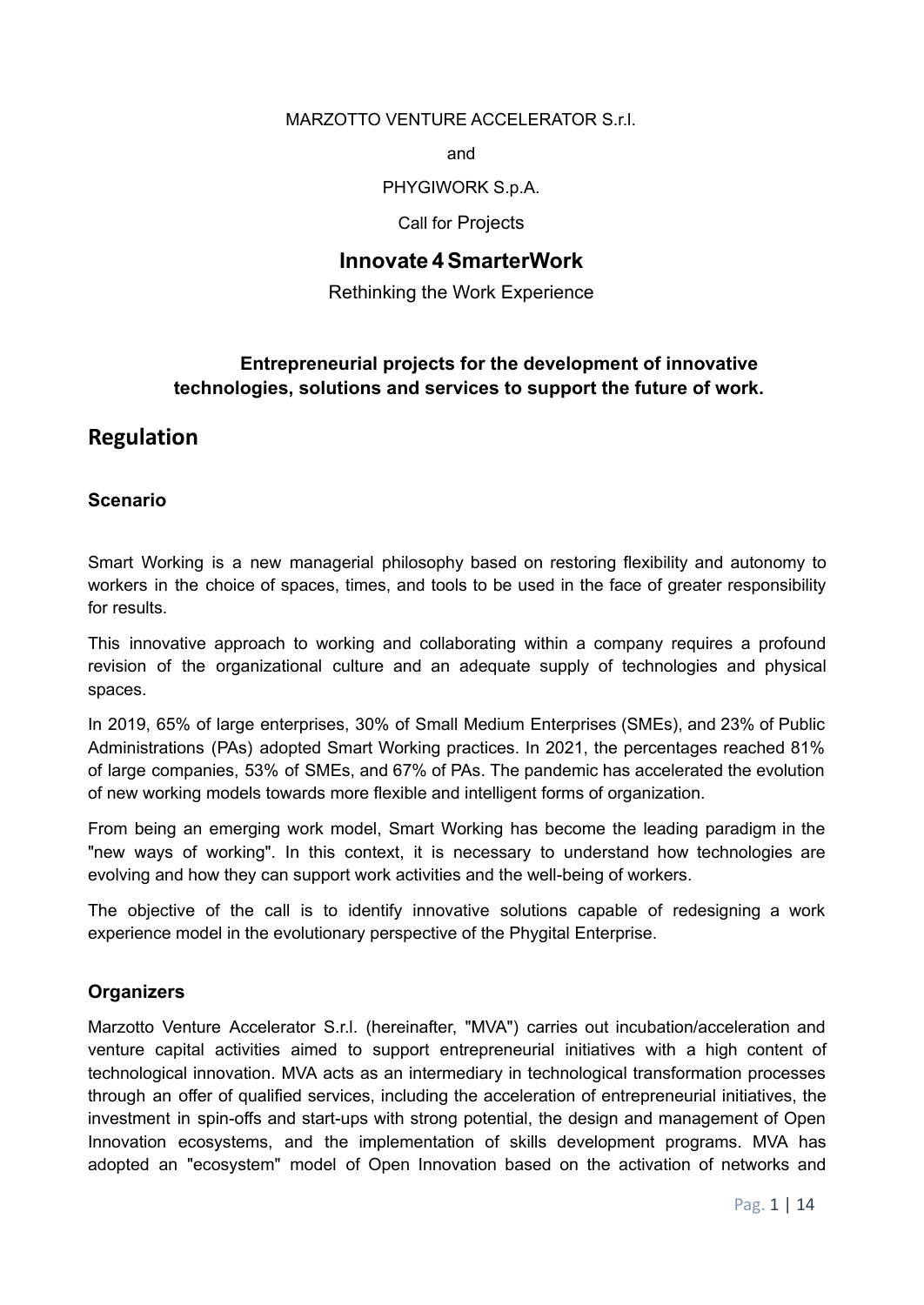### MARZOTTO VENTURE ACCELERATOR S.r.l.

and

PHYGIWORK S.p.A.

Call for Projects

# **Innovate 4SmarterWork**

Rethinking the Work Experience

# **Entrepreneurial projects for the development of innovative technologies, solutions and services to support the future of work.**

# **Regulation**

## **Scenario**

Smart Working is a new managerial philosophy based on restoring flexibility and autonomy to workers in the choice of spaces, times, and tools to be used in the face of greater responsibility for results.

This innovative approach to working and collaborating within a company requires a profound revision of the organizational culture and an adequate supply of technologies and physical spaces.

In 2019, 65% of large enterprises, 30% of Small Medium Enterprises (SMEs), and 23% of Public Administrations (PAs) adopted Smart Working practices. In 2021, the percentages reached 81% of large companies, 53% of SMEs, and 67% of PAs. The pandemic has accelerated the evolution of new working models towards more flexible and intelligent forms of organization.

From being an emerging work model, Smart Working has become the leading paradigm in the "new ways of working". In this context, it is necessary to understand how technologies are evolving and how they can support work activities and the well-being of workers.

The objective of the call is to identify innovative solutions capable of redesigning a work experience model in the evolutionary perspective of the Phygital Enterprise.

## **Organizers**

Marzotto Venture Accelerator S.r.l. (hereinafter, "MVA") carries out incubation/acceleration and venture capital activities aimed to support entrepreneurial initiatives with a high content of technological innovation. MVA acts as an intermediary in technological transformation processes through an offer of qualified services, including the acceleration of entrepreneurial initiatives, the investment in spin-offs and start-ups with strong potential, the design and management of Open Innovation ecosystems, and the implementation of skills development programs. MVA has adopted an "ecosystem" model of Open Innovation based on the activation of networks and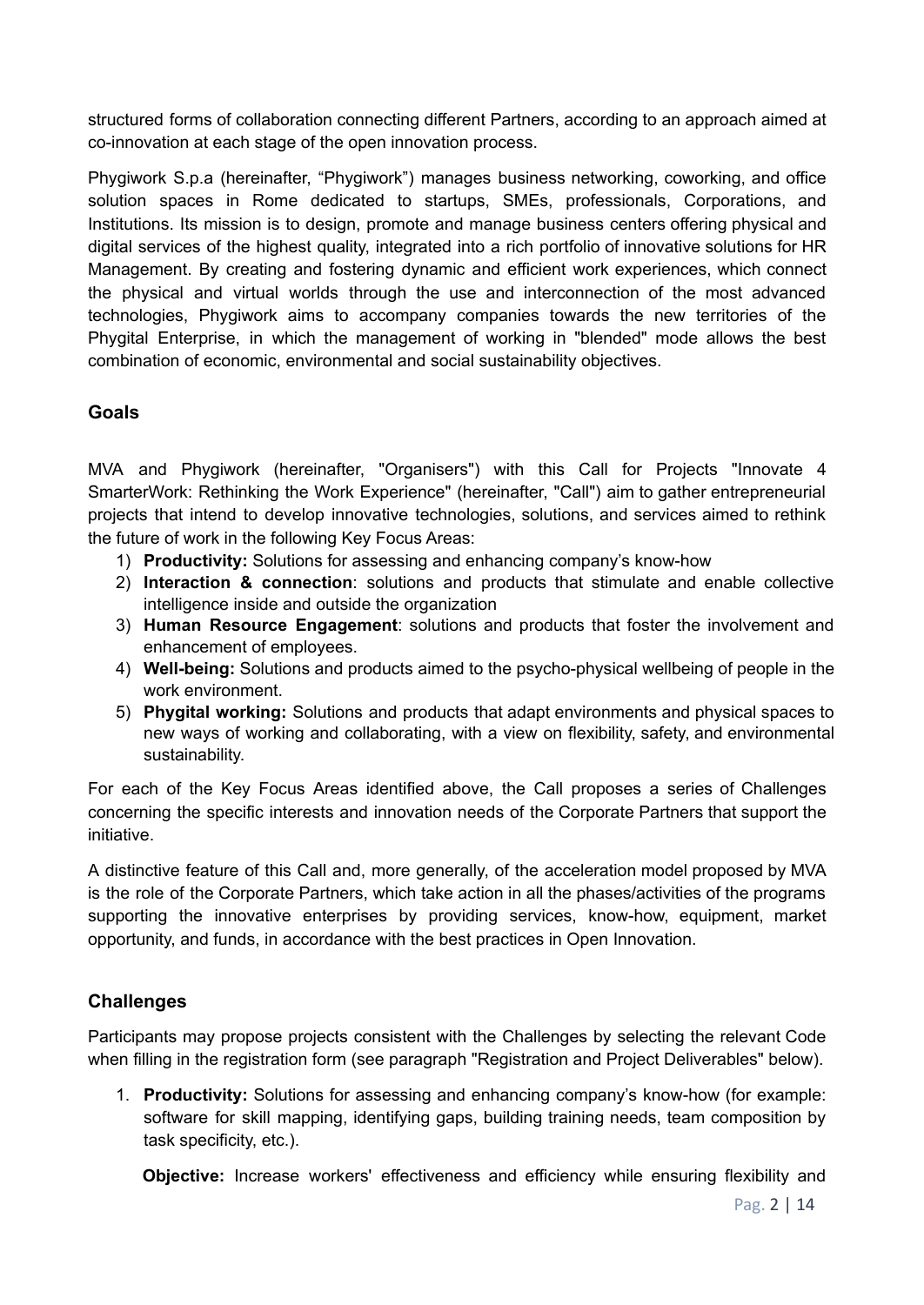structured forms of collaboration connecting different Partners, according to an approach aimed at co-innovation at each stage of the open innovation process.

Phygiwork S.p.a (hereinafter, "Phygiwork") manages business networking, coworking, and office solution spaces in Rome dedicated to startups, SMEs, professionals, Corporations, and Institutions. Its mission is to design, promote and manage business centers offering physical and digital services of the highest quality, integrated into a rich portfolio of innovative solutions for HR Management. By creating and fostering dynamic and efficient work experiences, which connect the physical and virtual worlds through the use and interconnection of the most advanced technologies, Phygiwork aims to accompany companies towards the new territories of the Phygital Enterprise, in which the management of working in "blended" mode allows the best combination of economic, environmental and social sustainability objectives.

# **Goals**

MVA and Phygiwork (hereinafter, "Organisers") with this Call for Projects "Innovate 4 SmarterWork: Rethinking the Work Experience" (hereinafter, "Call") aim to gather entrepreneurial projects that intend to develop innovative technologies, solutions, and services aimed to rethink the future of work in the following Key Focus Areas:

- 1) **Productivity:** Solutions for assessing and enhancing company's know-how
- 2) **Interaction & connection**: solutions and products that stimulate and enable collective intelligence inside and outside the organization
- 3) **Human Resource Engagement**: solutions and products that foster the involvement and enhancement of employees.
- 4) **Well-being:** Solutions and products aimed to the psycho-physical wellbeing of people in the work environment.
- 5) **Phygital working:** Solutions and products that adapt environments and physical spaces to new ways of working and collaborating, with a view on flexibility, safety, and environmental sustainability.

For each of the Key Focus Areas identified above, the Call proposes a series of Challenges concerning the specific interests and innovation needs of the Corporate Partners that support the initiative.

A distinctive feature of this Call and, more generally, of the acceleration model proposed by MVA is the role of the Corporate Partners, which take action in all the phases/activities of the programs supporting the innovative enterprises by providing services, know-how, equipment, market opportunity, and funds, in accordance with the best practices in Open Innovation.

# **Challenges**

Participants may propose projects consistent with the Challenges by selecting the relevant Code when filling in the registration form (see paragraph "Registration and Project Deliverables" below).

1. **Productivity:** Solutions for assessing and enhancing company's know-how (for example: software for skill mapping, identifying gaps, building training needs, team composition by task specificity, etc.).

**Objective:** Increase workers' effectiveness and efficiency while ensuring flexibility and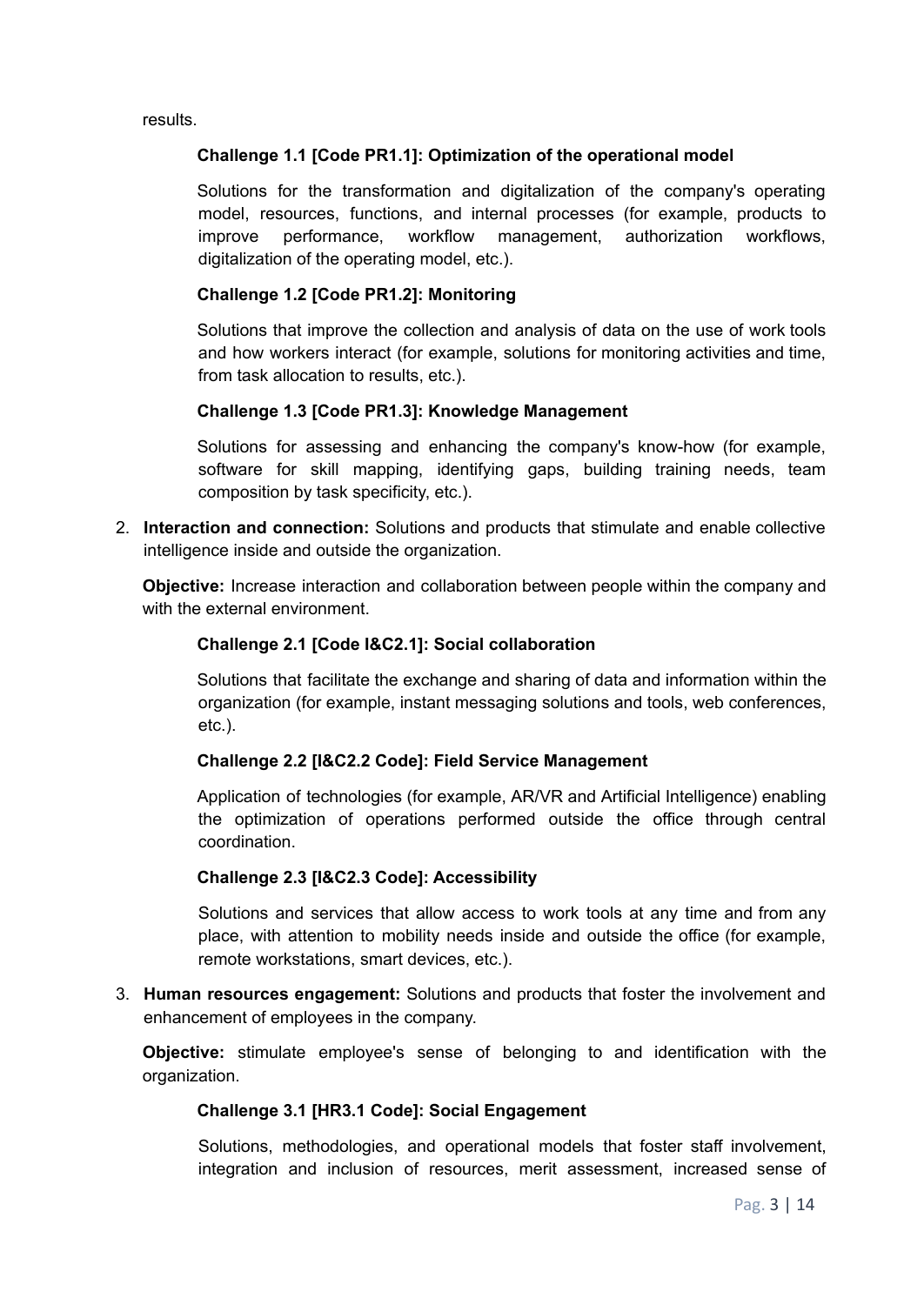results.

## **Challenge 1.1 [Code PR1.1]: Optimization of the operational model**

Solutions for the transformation and digitalization of the company's operating model, resources, functions, and internal processes (for example, products to improve performance, workflow management, authorization workflows, digitalization of the operating model, etc.).

## **Challenge 1.2 [Code PR1.2]: Monitoring**

Solutions that improve the collection and analysis of data on the use of work tools and how workers interact (for example, solutions for monitoring activities and time, from task allocation to results, etc.).

### **Challenge 1.3 [Code PR1.3]: Knowledge Management**

Solutions for assessing and enhancing the company's know-how (for example, software for skill mapping, identifying gaps, building training needs, team composition by task specificity, etc.).

2. **Interaction and connection:** Solutions and products that stimulate and enable collective intelligence inside and outside the organization.

**Objective:** Increase interaction and collaboration between people within the company and with the external environment.

## **Challenge 2.1 [Code I&C2.1]: Social collaboration**

Solutions that facilitate the exchange and sharing of data and information within the organization (for example, instant messaging solutions and tools, web conferences, etc.).

### **Challenge 2.2 [I&C2.2 Code]: Field Service Management**

Application of technologies (for example, AR/VR and Artificial Intelligence) enabling the optimization of operations performed outside the office through central coordination.

### **Challenge 2.3 [I&C2.3 Code]: Accessibility**

Solutions and services that allow access to work tools at any time and from any place, with attention to mobility needs inside and outside the office (for example, remote workstations, smart devices, etc.).

3. **Human resources engagement:** Solutions and products that foster the involvement and enhancement of employees in the company.

**Objective:** stimulate employee's sense of belonging to and identification with the organization.

### **Challenge 3.1 [HR3.1 Code]: Social Engagement**

Solutions, methodologies, and operational models that foster staff involvement, integration and inclusion of resources, merit assessment, increased sense of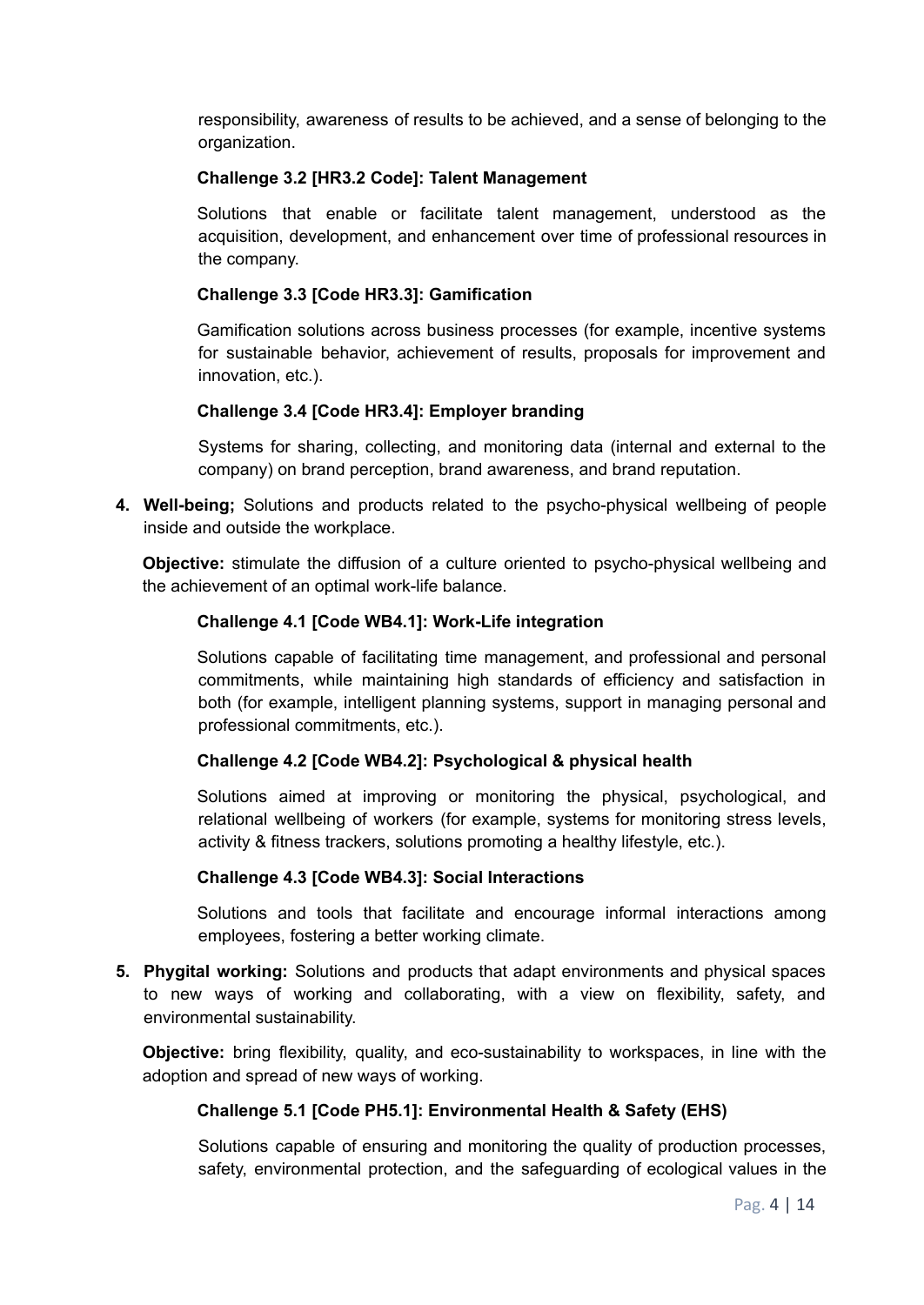responsibility, awareness of results to be achieved, and a sense of belonging to the organization.

## **Challenge 3.2 [HR3.2 Code]: Talent Management**

Solutions that enable or facilitate talent management, understood as the acquisition, development, and enhancement over time of professional resources in the company.

### **Challenge 3.3 [Code HR3.3]: Gamification**

Gamification solutions across business processes (for example, incentive systems for sustainable behavior, achievement of results, proposals for improvement and innovation, etc.).

### **Challenge 3.4 [Code HR3.4]: Employer branding**

Systems for sharing, collecting, and monitoring data (internal and external to the company) on brand perception, brand awareness, and brand reputation.

**4. Well-being;** Solutions and products related to the psycho-physical wellbeing of people inside and outside the workplace.

**Objective:** stimulate the diffusion of a culture oriented to psycho-physical wellbeing and the achievement of an optimal work-life balance.

### **Challenge 4.1 [Code WB4.1]: Work-Life integration**

Solutions capable of facilitating time management, and professional and personal commitments, while maintaining high standards of efficiency and satisfaction in both (for example, intelligent planning systems, support in managing personal and professional commitments, etc.).

### **Challenge 4.2 [Code WB4.2]: Psychological & physical health**

Solutions aimed at improving or monitoring the physical, psychological, and relational wellbeing of workers (for example, systems for monitoring stress levels, activity & fitness trackers, solutions promoting a healthy lifestyle, etc.).

### **Challenge 4.3 [Code WB4.3]: Social Interactions**

Solutions and tools that facilitate and encourage informal interactions among employees, fostering a better working climate.

**5. Phygital working:** Solutions and products that adapt environments and physical spaces to new ways of working and collaborating, with a view on flexibility, safety, and environmental sustainability.

**Objective:** bring flexibility, quality, and eco-sustainability to workspaces, in line with the adoption and spread of new ways of working.

### **Challenge 5.1 [Code PH5.1]: Environmental Health & Safety (EHS)**

Solutions capable of ensuring and monitoring the quality of production processes, safety, environmental protection, and the safeguarding of ecological values in the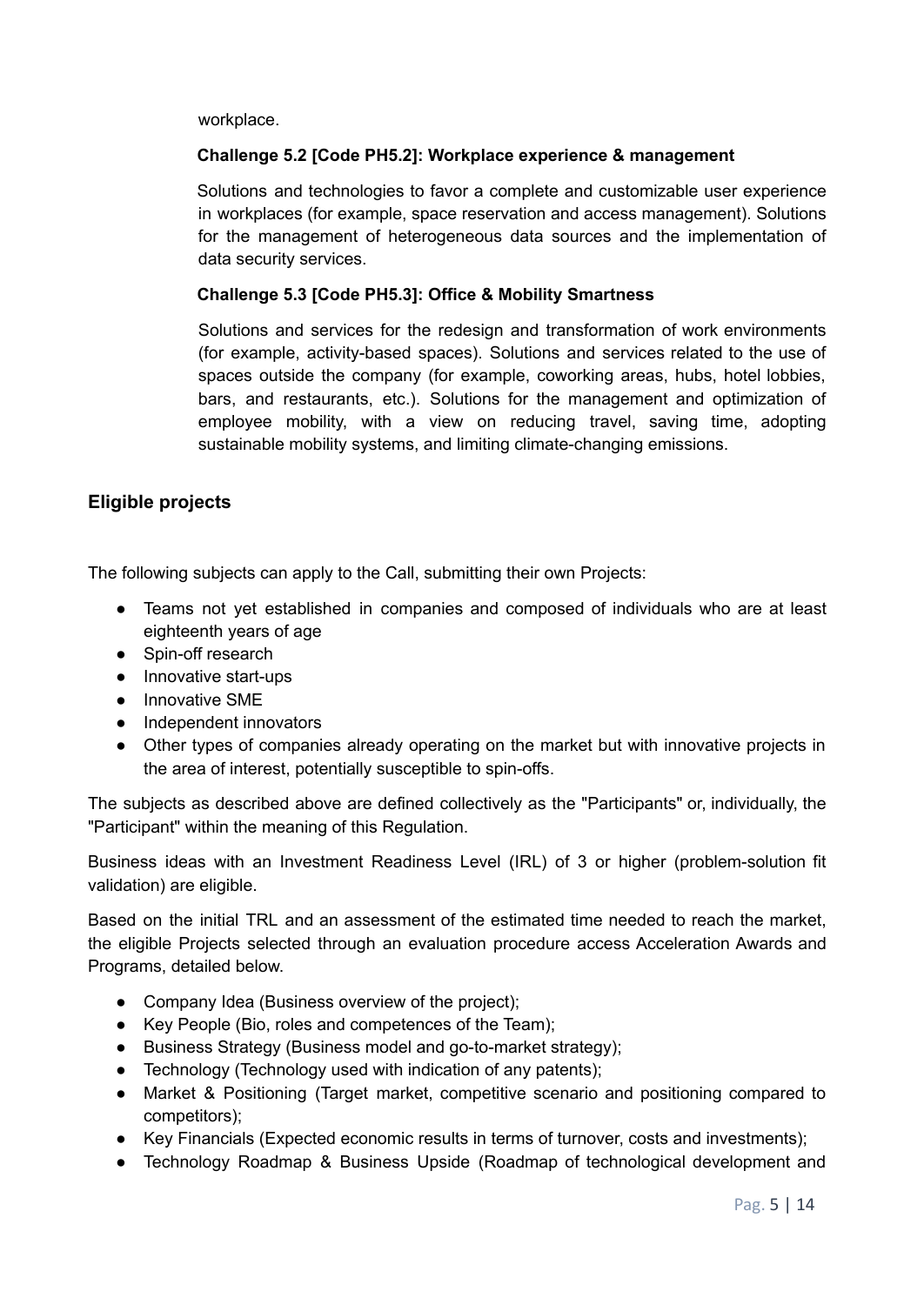workplace.

## **Challenge 5.2 [Code PH5.2]: Workplace experience & management**

Solutions and technologies to favor a complete and customizable user experience in workplaces (for example, space reservation and access management). Solutions for the management of heterogeneous data sources and the implementation of data security services.

## **Challenge 5.3 [Code PH5.3]: Office & Mobility Smartness**

Solutions and services for the redesign and transformation of work environments (for example, activity-based spaces). Solutions and services related to the use of spaces outside the company (for example, coworking areas, hubs, hotel lobbies, bars, and restaurants, etc.). Solutions for the management and optimization of employee mobility, with a view on reducing travel, saving time, adopting sustainable mobility systems, and limiting climate-changing emissions.

## **Eligible projects**

The following subjects can apply to the Call, submitting their own Projects:

- Teams not yet established in companies and composed of individuals who are at least eighteenth years of age
- Spin-off research
- Innovative start-ups
- Innovative SME
- Independent innovators
- Other types of companies already operating on the market but with innovative projects in the area of interest, potentially susceptible to spin-offs.

The subjects as described above are defined collectively as the "Participants" or, individually, the "Participant" within the meaning of this Regulation.

Business ideas with an Investment Readiness Level (IRL) of 3 or higher (problem-solution fit validation) are eligible.

Based on the initial TRL and an assessment of the estimated time needed to reach the market, the eligible Projects selected through an evaluation procedure access Acceleration Awards and Programs, detailed below.

- Company Idea (Business overview of the project);
- Key People (Bio, roles and competences of the Team);
- Business Strategy (Business model and go-to-market strategy);
- Technology (Technology used with indication of any patents);
- Market & Positioning (Target market, competitive scenario and positioning compared to competitors);
- Key Financials (Expected economic results in terms of turnover, costs and investments);
- Technology Roadmap & Business Upside (Roadmap of technological development and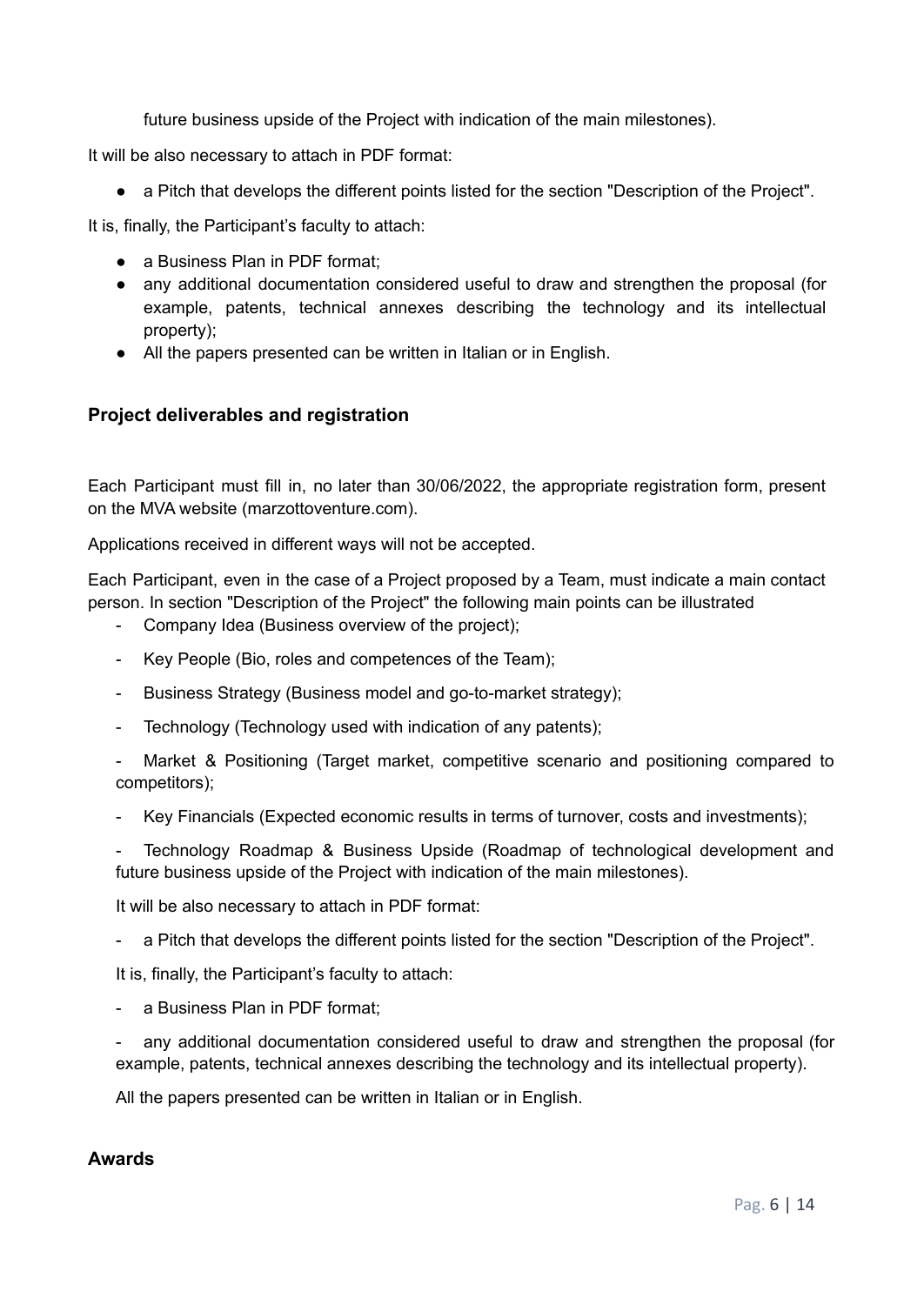future business upside of the Project with indication of the main milestones).

It will be also necessary to attach in PDF format:

● a Pitch that develops the different points listed for the section "Description of the Project".

It is, finally, the Participant's faculty to attach:

- a Business Plan in PDF format;
- any additional documentation considered useful to draw and strengthen the proposal (for example, patents, technical annexes describing the technology and its intellectual property);
- All the papers presented can be written in Italian or in English.

## **Project deliverables and registration**

Each Participant must fill in, no later than 30/06/2022, the appropriate registration form, present on the MVA website (marzottoventure.com).

Applications received in different ways will not be accepted.

Each Participant, even in the case of a Project proposed by a Team, must indicate a main contact person. In section "Description of the Project" the following main points can be illustrated

- Company Idea (Business overview of the project);
- Key People (Bio, roles and competences of the Team);
- Business Strategy (Business model and go-to-market strategy);
- Technology (Technology used with indication of any patents);
- Market & Positioning (Target market, competitive scenario and positioning compared to competitors);
- Key Financials (Expected economic results in terms of turnover, costs and investments);

Technology Roadmap & Business Upside (Roadmap of technological development and future business upside of the Project with indication of the main milestones).

It will be also necessary to attach in PDF format:

a Pitch that develops the different points listed for the section "Description of the Project".

It is, finally, the Participant's faculty to attach:

- a Business Plan in PDF format;

any additional documentation considered useful to draw and strengthen the proposal (for example, patents, technical annexes describing the technology and its intellectual property).

All the papers presented can be written in Italian or in English.

#### **Awards**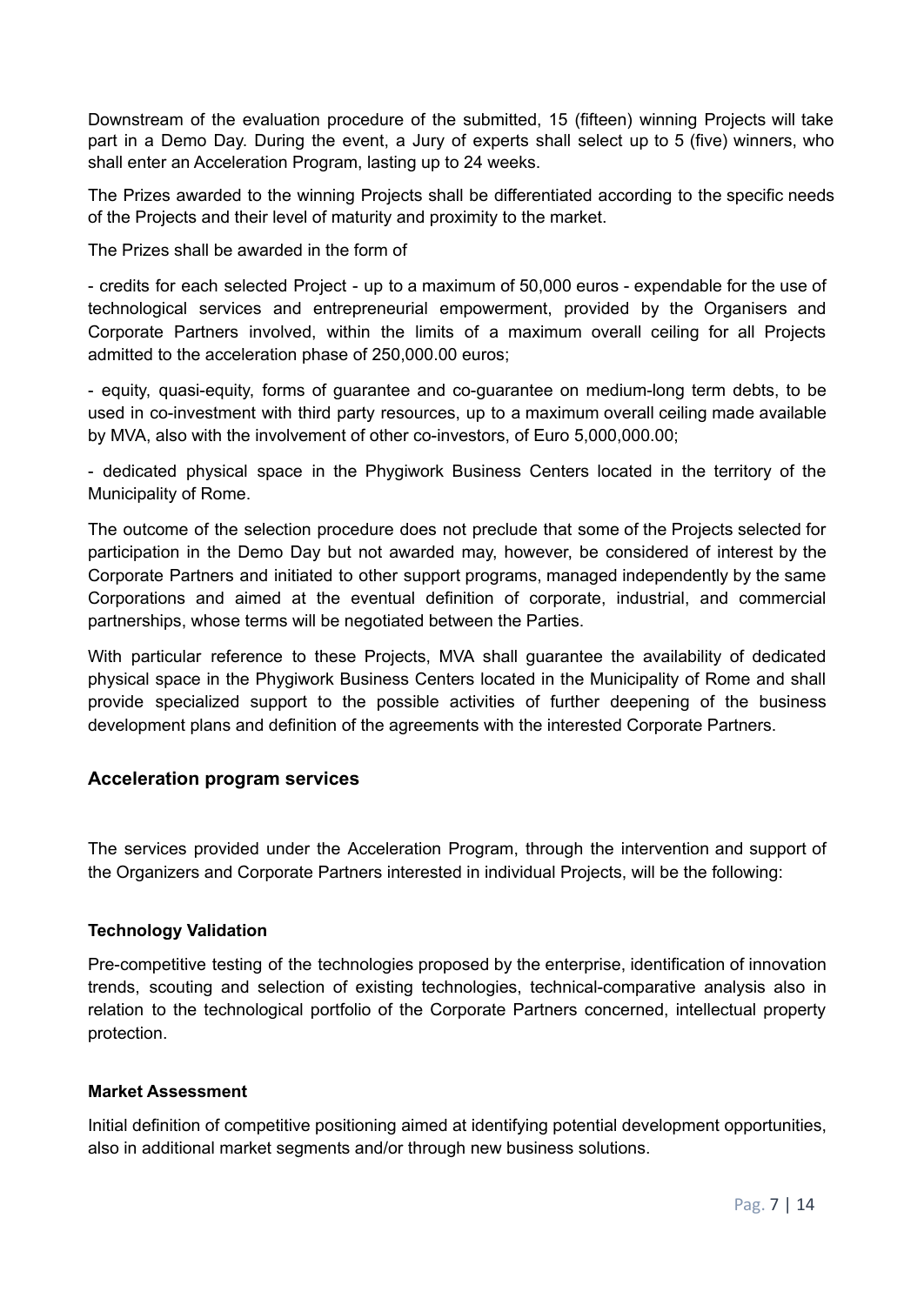Downstream of the evaluation procedure of the submitted, 15 (fifteen) winning Projects will take part in a Demo Day. During the event, a Jury of experts shall select up to 5 (five) winners, who shall enter an Acceleration Program, lasting up to 24 weeks.

The Prizes awarded to the winning Projects shall be differentiated according to the specific needs of the Projects and their level of maturity and proximity to the market.

The Prizes shall be awarded in the form of

- credits for each selected Project - up to a maximum of 50,000 euros - expendable for the use of technological services and entrepreneurial empowerment, provided by the Organisers and Corporate Partners involved, within the limits of a maximum overall ceiling for all Projects admitted to the acceleration phase of 250,000.00 euros;

- equity, quasi-equity, forms of guarantee and co-guarantee on medium-long term debts, to be used in co-investment with third party resources, up to a maximum overall ceiling made available by MVA, also with the involvement of other co-investors, of Euro 5,000,000.00;

- dedicated physical space in the Phygiwork Business Centers located in the territory of the Municipality of Rome.

The outcome of the selection procedure does not preclude that some of the Projects selected for participation in the Demo Day but not awarded may, however, be considered of interest by the Corporate Partners and initiated to other support programs, managed independently by the same Corporations and aimed at the eventual definition of corporate, industrial, and commercial partnerships, whose terms will be negotiated between the Parties.

With particular reference to these Projects, MVA shall guarantee the availability of dedicated physical space in the Phygiwork Business Centers located in the Municipality of Rome and shall provide specialized support to the possible activities of further deepening of the business development plans and definition of the agreements with the interested Corporate Partners.

### **Acceleration program services**

The services provided under the Acceleration Program, through the intervention and support of the Organizers and Corporate Partners interested in individual Projects, will be the following:

### **Technology Validation**

Pre-competitive testing of the technologies proposed by the enterprise, identification of innovation trends, scouting and selection of existing technologies, technical-comparative analysis also in relation to the technological portfolio of the Corporate Partners concerned, intellectual property protection.

#### **Market Assessment**

Initial definition of competitive positioning aimed at identifying potential development opportunities, also in additional market segments and/or through new business solutions.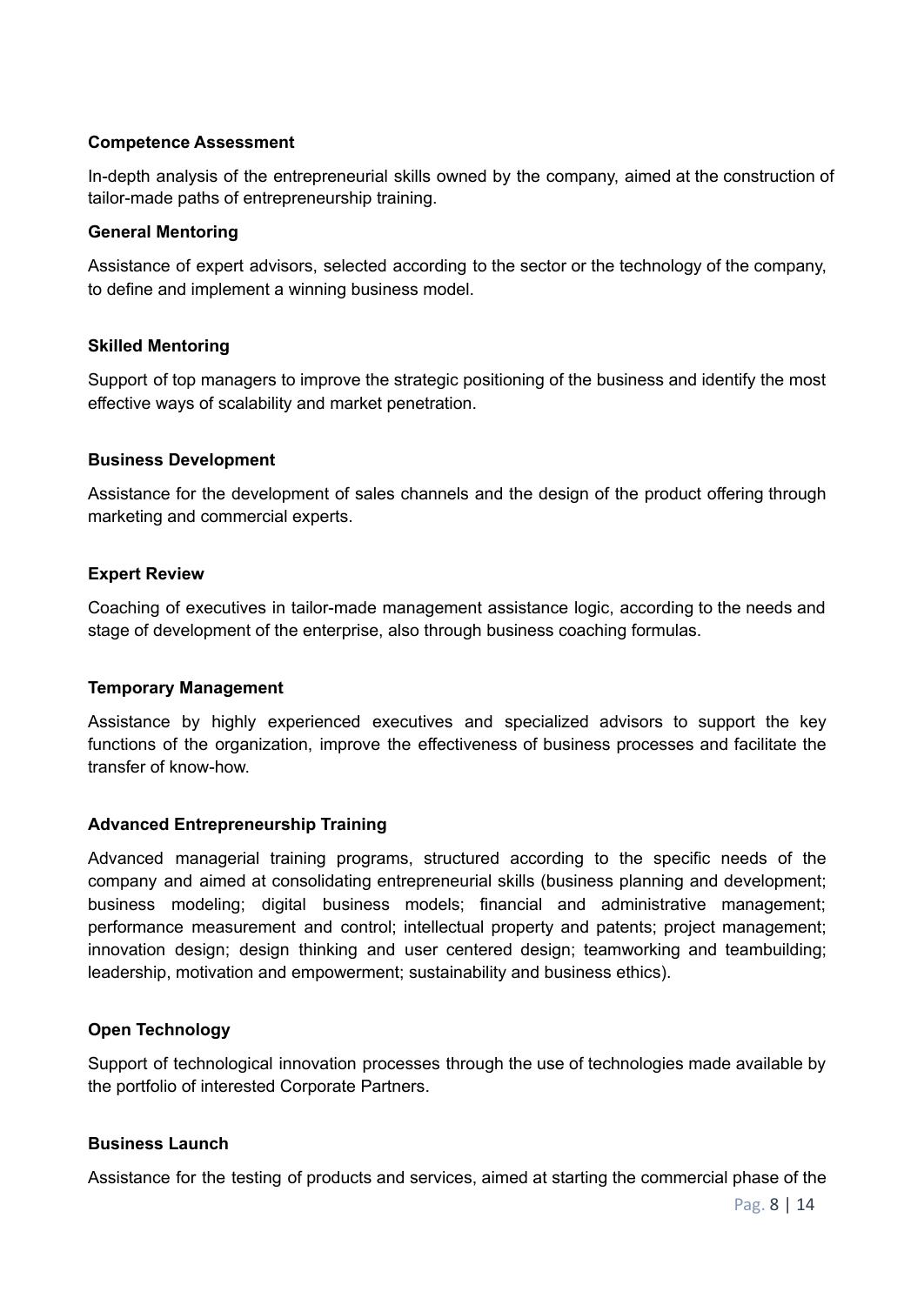### **Competence Assessment**

In-depth analysis of the entrepreneurial skills owned by the company, aimed at the construction of tailor-made paths of entrepreneurship training.

#### **General Mentoring**

Assistance of expert advisors, selected according to the sector or the technology of the company, to define and implement a winning business model.

#### **Skilled Mentoring**

Support of top managers to improve the strategic positioning of the business and identify the most effective ways of scalability and market penetration.

#### **Business Development**

Assistance for the development of sales channels and the design of the product offering through marketing and commercial experts.

#### **Expert Review**

Coaching of executives in tailor-made management assistance logic, according to the needs and stage of development of the enterprise, also through business coaching formulas.

#### **Temporary Management**

Assistance by highly experienced executives and specialized advisors to support the key functions of the organization, improve the effectiveness of business processes and facilitate the transfer of know-how.

### **Advanced Entrepreneurship Training**

Advanced managerial training programs, structured according to the specific needs of the company and aimed at consolidating entrepreneurial skills (business planning and development; business modeling; digital business models; financial and administrative management; performance measurement and control; intellectual property and patents; project management; innovation design; design thinking and user centered design; teamworking and teambuilding; leadership, motivation and empowerment; sustainability and business ethics).

### **Open Technology**

Support of technological innovation processes through the use of technologies made available by the portfolio of interested Corporate Partners.

#### **Business Launch**

Assistance for the testing of products and services, aimed at starting the commercial phase of the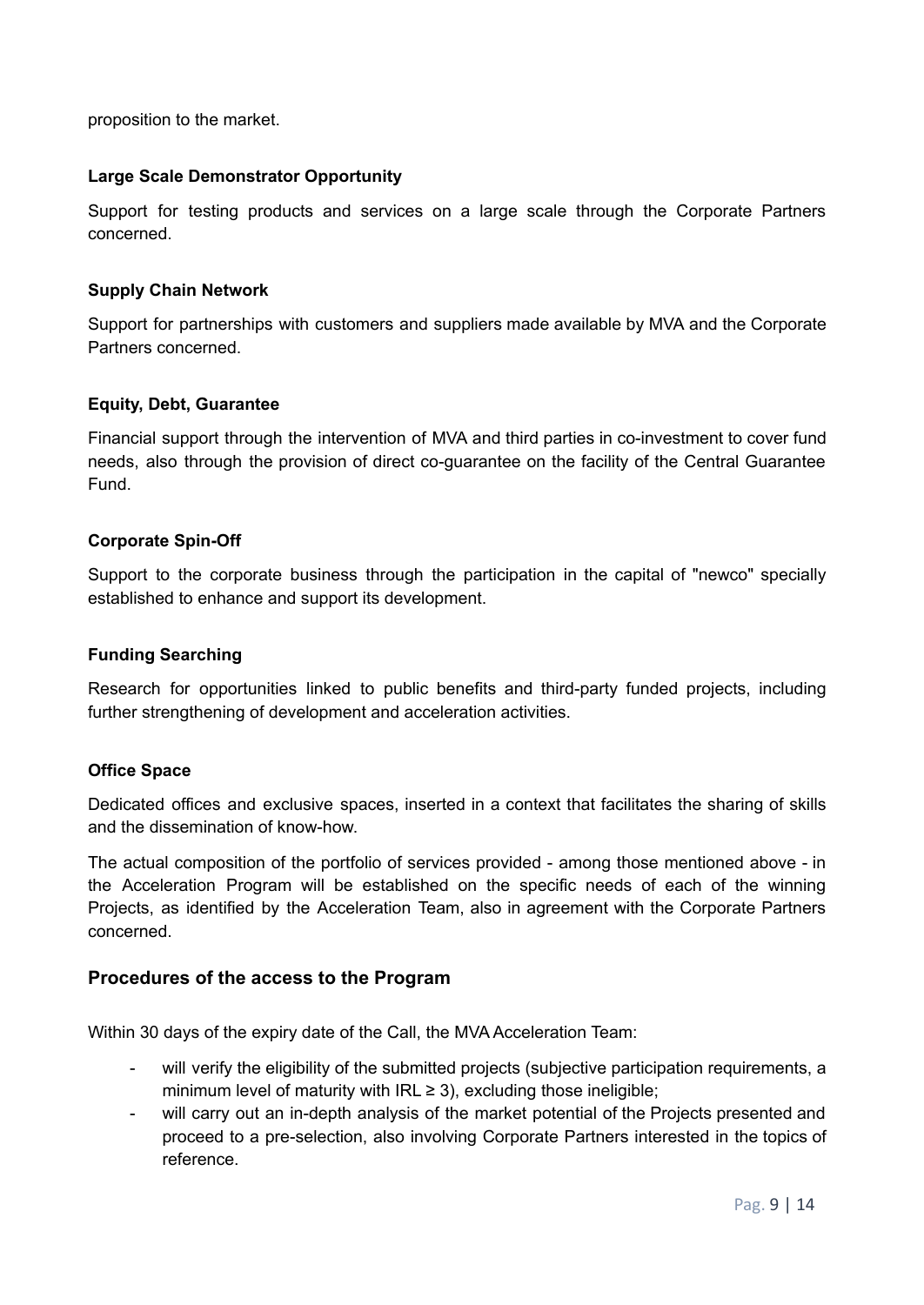proposition to the market.

### **Large Scale Demonstrator Opportunity**

Support for testing products and services on a large scale through the Corporate Partners concerned.

#### **Supply Chain Network**

Support for partnerships with customers and suppliers made available by MVA and the Corporate Partners concerned.

#### **Equity, Debt, Guarantee**

Financial support through the intervention of MVA and third parties in co-investment to cover fund needs, also through the provision of direct co-guarantee on the facility of the Central Guarantee Fund.

#### **Corporate Spin-Off**

Support to the corporate business through the participation in the capital of "newco" specially established to enhance and support its development.

#### **Funding Searching**

Research for opportunities linked to public benefits and third-party funded projects, including further strengthening of development and acceleration activities.

### **Office Space**

Dedicated offices and exclusive spaces, inserted in a context that facilitates the sharing of skills and the dissemination of know-how.

The actual composition of the portfolio of services provided - among those mentioned above - in the Acceleration Program will be established on the specific needs of each of the winning Projects, as identified by the Acceleration Team, also in agreement with the Corporate Partners concerned.

### **Procedures of the access to the Program**

Within 30 days of the expiry date of the Call, the MVA Acceleration Team:

- will verify the eligibility of the submitted projects (subjective participation requirements, a minimum level of maturity with  $IRL \geq 3$ ), excluding those ineligible;
- will carry out an in-depth analysis of the market potential of the Projects presented and proceed to a pre-selection, also involving Corporate Partners interested in the topics of reference.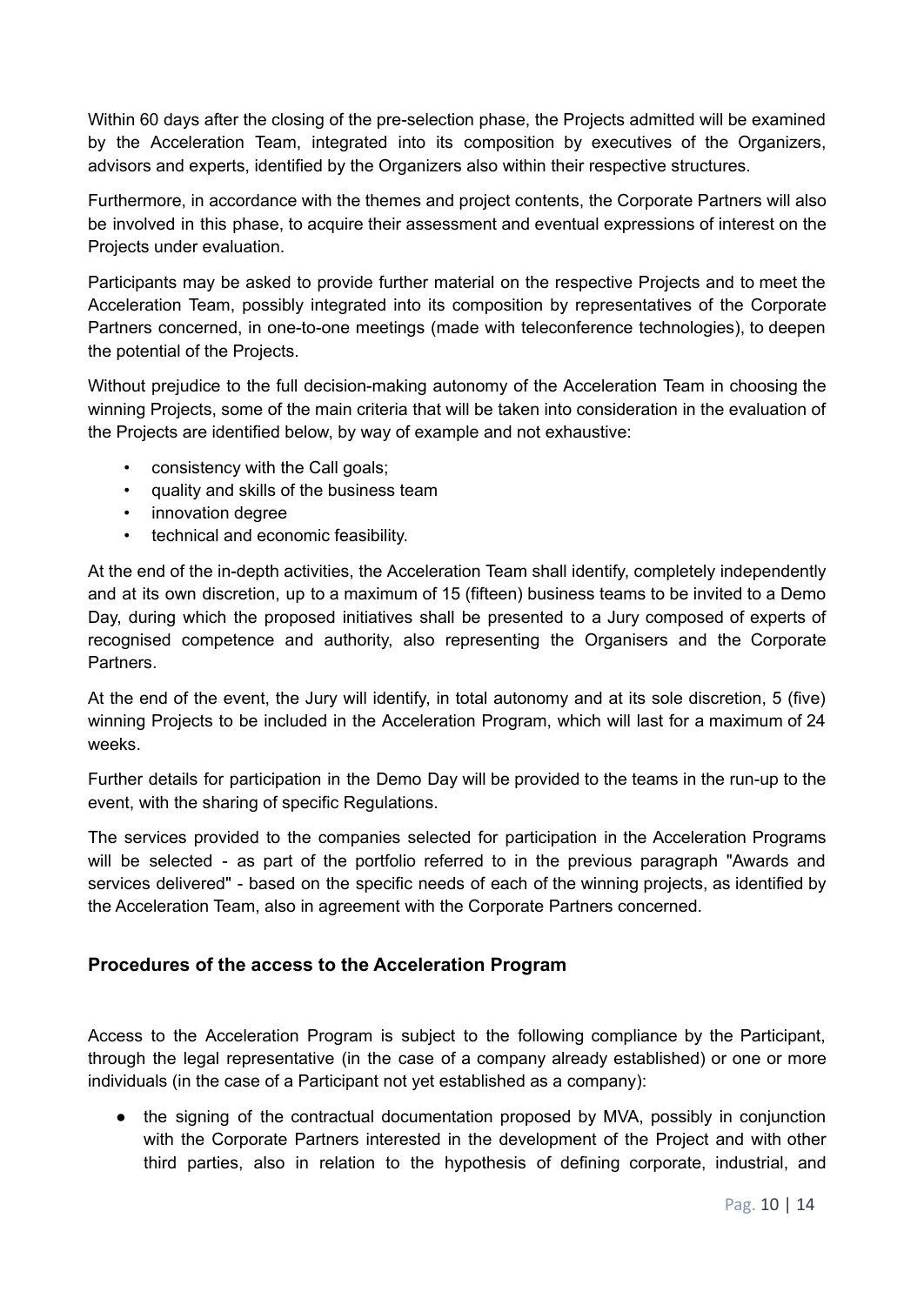Within 60 days after the closing of the pre-selection phase, the Projects admitted will be examined by the Acceleration Team, integrated into its composition by executives of the Organizers, advisors and experts, identified by the Organizers also within their respective structures.

Furthermore, in accordance with the themes and project contents, the Corporate Partners will also be involved in this phase, to acquire their assessment and eventual expressions of interest on the Projects under evaluation.

Participants may be asked to provide further material on the respective Projects and to meet the Acceleration Team, possibly integrated into its composition by representatives of the Corporate Partners concerned, in one-to-one meetings (made with teleconference technologies), to deepen the potential of the Projects.

Without prejudice to the full decision-making autonomy of the Acceleration Team in choosing the winning Projects, some of the main criteria that will be taken into consideration in the evaluation of the Projects are identified below, by way of example and not exhaustive:

- consistency with the Call goals;
- quality and skills of the business team
- innovation degree
- technical and economic feasibility.

At the end of the in-depth activities, the Acceleration Team shall identify, completely independently and at its own discretion, up to a maximum of 15 (fifteen) business teams to be invited to a Demo Day, during which the proposed initiatives shall be presented to a Jury composed of experts of recognised competence and authority, also representing the Organisers and the Corporate Partners.

At the end of the event, the Jury will identify, in total autonomy and at its sole discretion, 5 (five) winning Projects to be included in the Acceleration Program, which will last for a maximum of 24 weeks.

Further details for participation in the Demo Day will be provided to the teams in the run-up to the event, with the sharing of specific Regulations.

The services provided to the companies selected for participation in the Acceleration Programs will be selected - as part of the portfolio referred to in the previous paragraph "Awards and services delivered" - based on the specific needs of each of the winning projects, as identified by the Acceleration Team, also in agreement with the Corporate Partners concerned.

# **Procedures of the access to the Acceleration Program**

Access to the Acceleration Program is subject to the following compliance by the Participant, through the legal representative (in the case of a company already established) or one or more individuals (in the case of a Participant not yet established as a company):

• the signing of the contractual documentation proposed by MVA, possibly in conjunction with the Corporate Partners interested in the development of the Project and with other third parties, also in relation to the hypothesis of defining corporate, industrial, and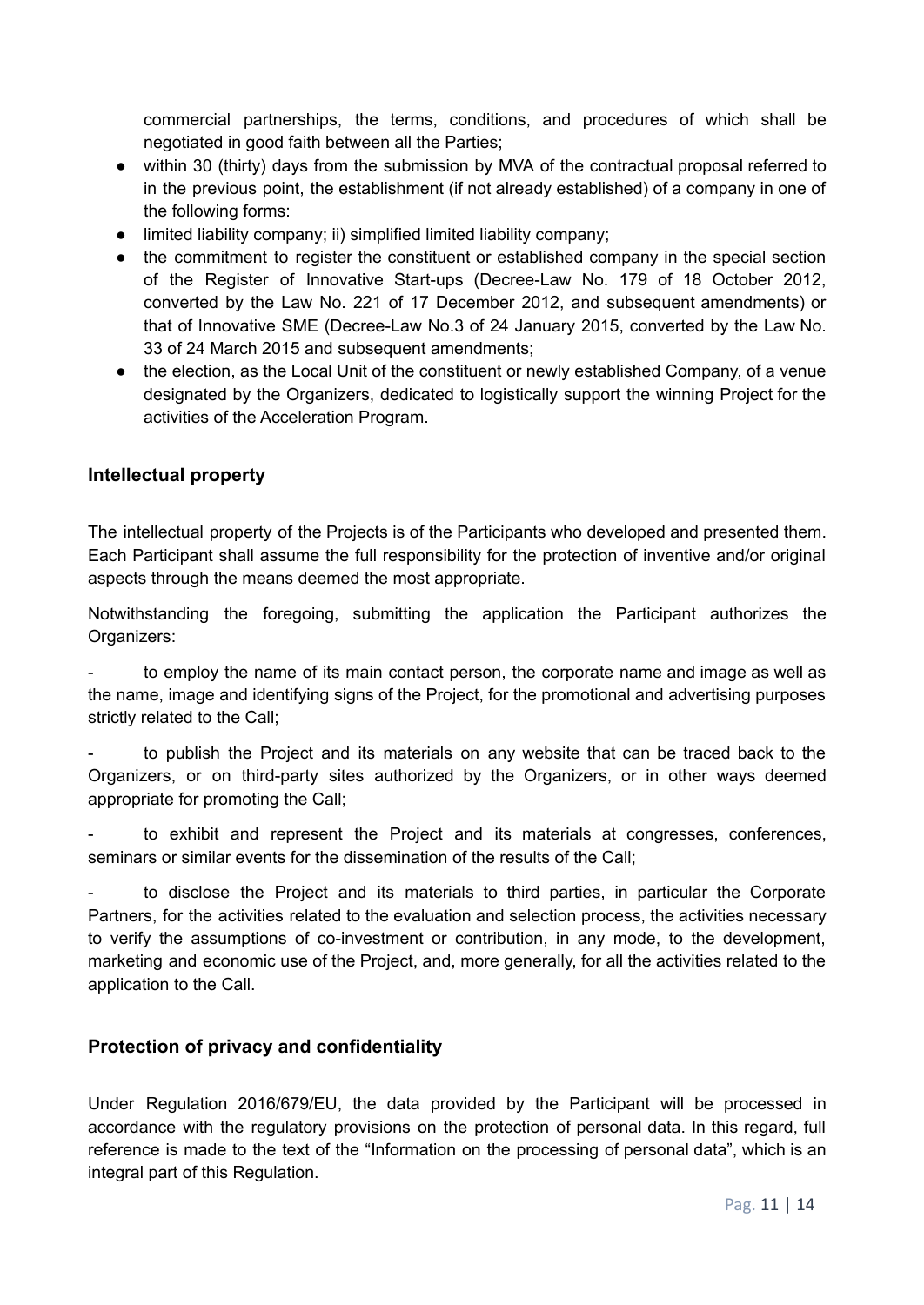commercial partnerships, the terms, conditions, and procedures of which shall be negotiated in good faith between all the Parties;

- within 30 (thirty) days from the submission by MVA of the contractual proposal referred to in the previous point, the establishment (if not already established) of a company in one of the following forms:
- limited liability company; ii) simplified limited liability company;
- the commitment to register the constituent or established company in the special section of the Register of Innovative Start-ups (Decree-Law No. 179 of 18 October 2012, converted by the Law No. 221 of 17 December 2012, and subsequent amendments) or that of Innovative SME (Decree-Law No.3 of 24 January 2015, converted by the Law No. 33 of 24 March 2015 and subsequent amendments;
- the election, as the Local Unit of the constituent or newly established Company, of a venue designated by the Organizers, dedicated to logistically support the winning Project for the activities of the Acceleration Program.

## **Intellectual property**

The intellectual property of the Projects is of the Participants who developed and presented them. Each Participant shall assume the full responsibility for the protection of inventive and/or original aspects through the means deemed the most appropriate.

Notwithstanding the foregoing, submitting the application the Participant authorizes the Organizers:

to employ the name of its main contact person, the corporate name and image as well as the name, image and identifying signs of the Project, for the promotional and advertising purposes strictly related to the Call;

to publish the Project and its materials on any website that can be traced back to the Organizers, or on third-party sites authorized by the Organizers, or in other ways deemed appropriate for promoting the Call;

to exhibit and represent the Project and its materials at congresses, conferences, seminars or similar events for the dissemination of the results of the Call;

to disclose the Project and its materials to third parties, in particular the Corporate Partners, for the activities related to the evaluation and selection process, the activities necessary to verify the assumptions of co-investment or contribution, in any mode, to the development, marketing and economic use of the Project, and, more generally, for all the activities related to the application to the Call.

## **Protection of privacy and confidentiality**

Under Regulation 2016/679/EU, the data provided by the Participant will be processed in accordance with the regulatory provisions on the protection of personal data. In this regard, full reference is made to the text of the "Information on the processing of personal data", which is an integral part of this Regulation.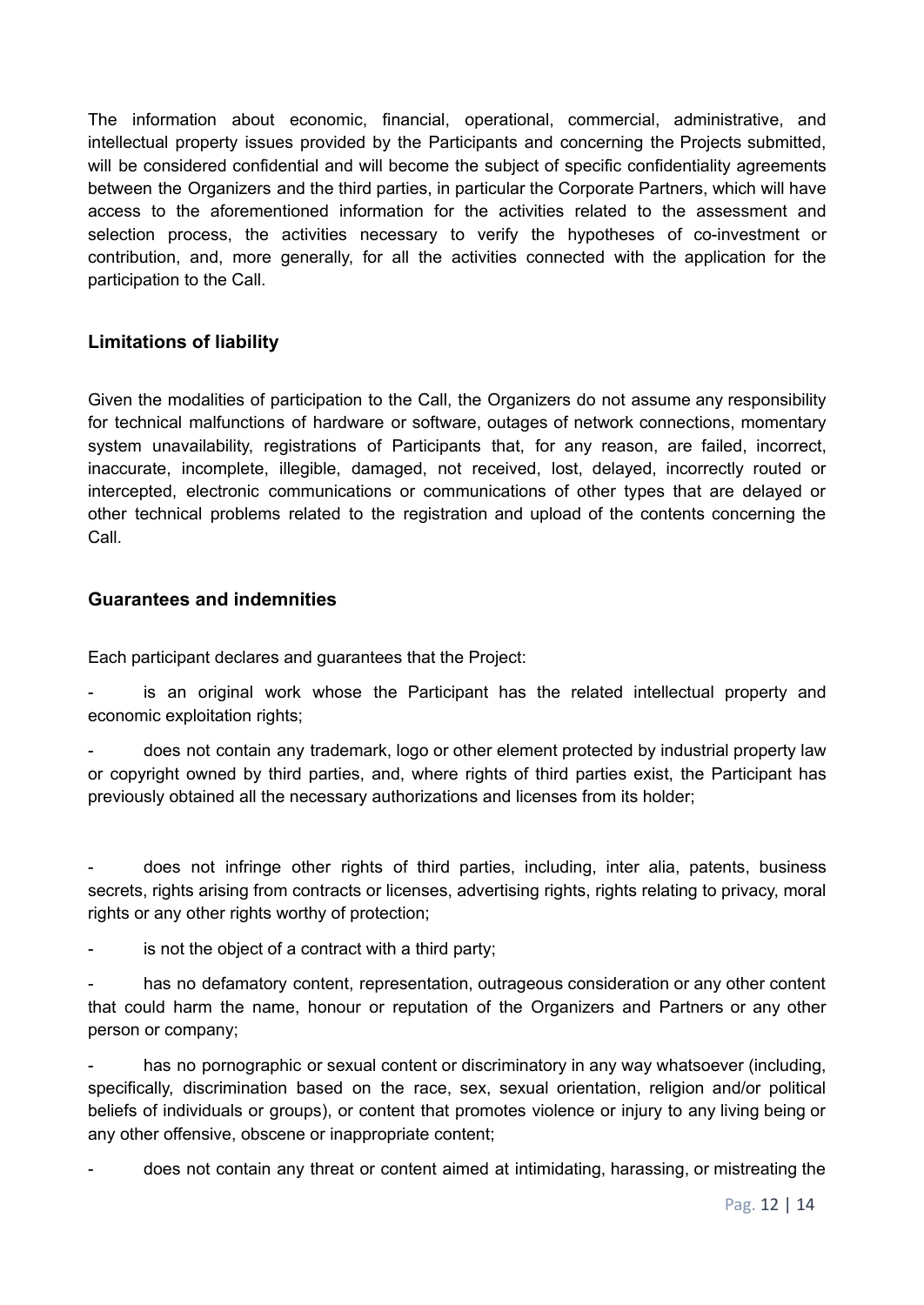The information about economic, financial, operational, commercial, administrative, and intellectual property issues provided by the Participants and concerning the Projects submitted, will be considered confidential and will become the subject of specific confidentiality agreements between the Organizers and the third parties, in particular the Corporate Partners, which will have access to the aforementioned information for the activities related to the assessment and selection process, the activities necessary to verify the hypotheses of co-investment or contribution, and, more generally, for all the activities connected with the application for the participation to the Call.

## **Limitations of liability**

Given the modalities of participation to the Call, the Organizers do not assume any responsibility for technical malfunctions of hardware or software, outages of network connections, momentary system unavailability, registrations of Participants that, for any reason, are failed, incorrect, inaccurate, incomplete, illegible, damaged, not received, lost, delayed, incorrectly routed or intercepted, electronic communications or communications of other types that are delayed or other technical problems related to the registration and upload of the contents concerning the Call.

## **Guarantees and indemnities**

Each participant declares and guarantees that the Project:

is an original work whose the Participant has the related intellectual property and economic exploitation rights;

- does not contain any trademark, logo or other element protected by industrial property law or copyright owned by third parties, and, where rights of third parties exist, the Participant has previously obtained all the necessary authorizations and licenses from its holder;

does not infringe other rights of third parties, including, inter alia, patents, business secrets, rights arising from contracts or licenses, advertising rights, rights relating to privacy, moral rights or any other rights worthy of protection;

is not the object of a contract with a third party;

has no defamatory content, representation, outrageous consideration or any other content that could harm the name, honour or reputation of the Organizers and Partners or any other person or company;

has no pornographic or sexual content or discriminatory in any way whatsoever (including, specifically, discrimination based on the race, sex, sexual orientation, religion and/or political beliefs of individuals or groups), or content that promotes violence or injury to any living being or any other offensive, obscene or inappropriate content;

- does not contain any threat or content aimed at intimidating, harassing, or mistreating the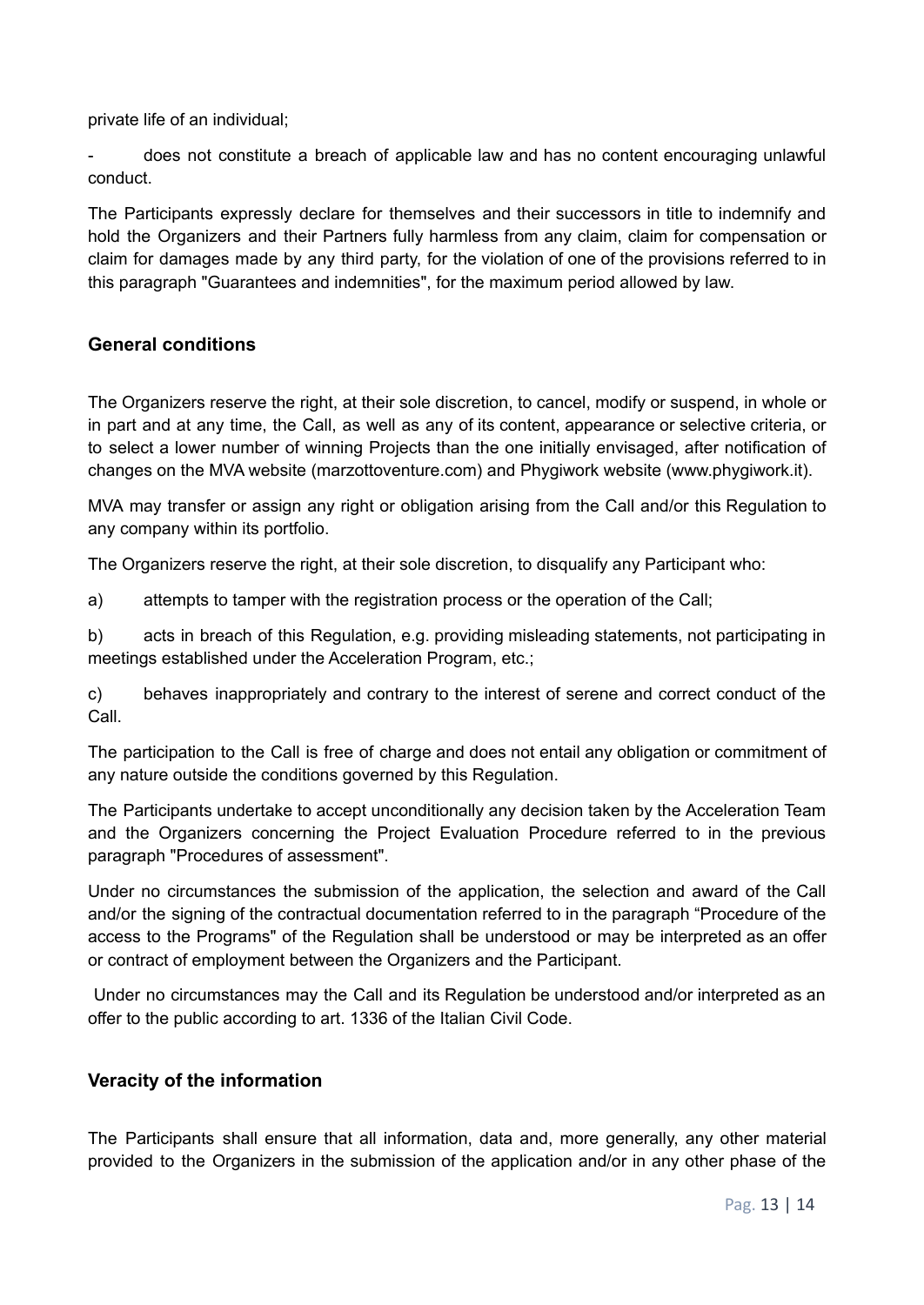private life of an individual;

- does not constitute a breach of applicable law and has no content encouraging unlawful conduct.

The Participants expressly declare for themselves and their successors in title to indemnify and hold the Organizers and their Partners fully harmless from any claim, claim for compensation or claim for damages made by any third party, for the violation of one of the provisions referred to in this paragraph "Guarantees and indemnities", for the maximum period allowed by law.

## **General conditions**

The Organizers reserve the right, at their sole discretion, to cancel, modify or suspend, in whole or in part and at any time, the Call, as well as any of its content, appearance or selective criteria, or to select a lower number of winning Projects than the one initially envisaged, after notification of changes on the MVA website (marzottoventure.com) and Phygiwork website (www.phygiwork.it).

MVA may transfer or assign any right or obligation arising from the Call and/or this Regulation to any company within its portfolio.

The Organizers reserve the right, at their sole discretion, to disqualify any Participant who:

a) attempts to tamper with the registration process or the operation of the Call;

b) acts in breach of this Regulation, e.g. providing misleading statements, not participating in meetings established under the Acceleration Program, etc.;

c) behaves inappropriately and contrary to the interest of serene and correct conduct of the Call.

The participation to the Call is free of charge and does not entail any obligation or commitment of any nature outside the conditions governed by this Regulation.

The Participants undertake to accept unconditionally any decision taken by the Acceleration Team and the Organizers concerning the Project Evaluation Procedure referred to in the previous paragraph "Procedures of assessment".

Under no circumstances the submission of the application, the selection and award of the Call and/or the signing of the contractual documentation referred to in the paragraph "Procedure of the access to the Programs" of the Regulation shall be understood or may be interpreted as an offer or contract of employment between the Organizers and the Participant.

Under no circumstances may the Call and its Regulation be understood and/or interpreted as an offer to the public according to art. 1336 of the Italian Civil Code.

## **Veracity of the information**

The Participants shall ensure that all information, data and, more generally, any other material provided to the Organizers in the submission of the application and/or in any other phase of the